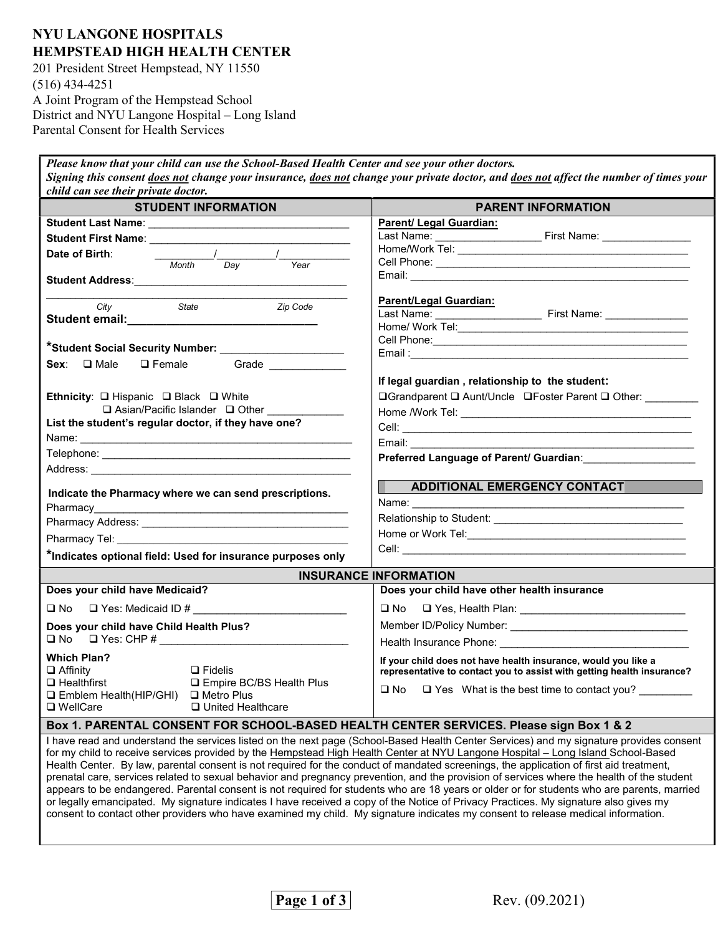## NYU LANGONE HOSPITALS HEMPSTEAD HIGH HEALTH CENTER

201 President Street Hempstead, NY 11550 (516) 434-4251 A Joint Program of the Hempstead School District and NYU Langone Hospital – Long Island Parental Consent for Health Services

Please know that your child can use the School-Based Health Center and see your other doctors. Signing this consent does not change your insurance, does not change your private doctor, and does not affect the number of times your child can see their private doctor.

| <b>STUDENT INFORMATION</b>                                                                                                                                                                                                                                                  | <b>PARENT INFORMATION</b>                                                                                                                                                                                                                                                             |  |  |  |
|-----------------------------------------------------------------------------------------------------------------------------------------------------------------------------------------------------------------------------------------------------------------------------|---------------------------------------------------------------------------------------------------------------------------------------------------------------------------------------------------------------------------------------------------------------------------------------|--|--|--|
|                                                                                                                                                                                                                                                                             | Parent/ Legal Guardian:                                                                                                                                                                                                                                                               |  |  |  |
|                                                                                                                                                                                                                                                                             |                                                                                                                                                                                                                                                                                       |  |  |  |
| Date of Birth:                                                                                                                                                                                                                                                              |                                                                                                                                                                                                                                                                                       |  |  |  |
|                                                                                                                                                                                                                                                                             |                                                                                                                                                                                                                                                                                       |  |  |  |
|                                                                                                                                                                                                                                                                             |                                                                                                                                                                                                                                                                                       |  |  |  |
|                                                                                                                                                                                                                                                                             | <b>Parent/Legal Guardian:</b>                                                                                                                                                                                                                                                         |  |  |  |
| Zip Code<br>State<br>City                                                                                                                                                                                                                                                   |                                                                                                                                                                                                                                                                                       |  |  |  |
|                                                                                                                                                                                                                                                                             |                                                                                                                                                                                                                                                                                       |  |  |  |
|                                                                                                                                                                                                                                                                             |                                                                                                                                                                                                                                                                                       |  |  |  |
| *Student Social Security Number: ________________________                                                                                                                                                                                                                   |                                                                                                                                                                                                                                                                                       |  |  |  |
| Grade _____________<br>$Sex: \Box$ Male<br>$\square$ Female                                                                                                                                                                                                                 |                                                                                                                                                                                                                                                                                       |  |  |  |
|                                                                                                                                                                                                                                                                             | If legal guardian, relationship to the student:                                                                                                                                                                                                                                       |  |  |  |
| Ethnicity: □ Hispanic □ Black □ White                                                                                                                                                                                                                                       | <b>□Grandparent □ Aunt/Uncle □Foster Parent □ Other:</b>                                                                                                                                                                                                                              |  |  |  |
| □ Asian/Pacific Islander □ Other ____________                                                                                                                                                                                                                               |                                                                                                                                                                                                                                                                                       |  |  |  |
| List the student's regular doctor, if they have one?                                                                                                                                                                                                                        |                                                                                                                                                                                                                                                                                       |  |  |  |
|                                                                                                                                                                                                                                                                             | Email: Email: All and the state of the state of the state of the state of the state of the state of the state of the state of the state of the state of the state of the state of the state of the state of the state of the s                                                        |  |  |  |
|                                                                                                                                                                                                                                                                             | Preferred Language of Parent/ Guardian: Material Analysis                                                                                                                                                                                                                             |  |  |  |
|                                                                                                                                                                                                                                                                             |                                                                                                                                                                                                                                                                                       |  |  |  |
| Indicate the Pharmacy where we can send prescriptions.                                                                                                                                                                                                                      | ADDITIONAL EMERGENCY CONTACT                                                                                                                                                                                                                                                          |  |  |  |
|                                                                                                                                                                                                                                                                             |                                                                                                                                                                                                                                                                                       |  |  |  |
|                                                                                                                                                                                                                                                                             |                                                                                                                                                                                                                                                                                       |  |  |  |
|                                                                                                                                                                                                                                                                             |                                                                                                                                                                                                                                                                                       |  |  |  |
|                                                                                                                                                                                                                                                                             |                                                                                                                                                                                                                                                                                       |  |  |  |
| *Indicates optional field: Used for insurance purposes only                                                                                                                                                                                                                 |                                                                                                                                                                                                                                                                                       |  |  |  |
| <b>INSURANCE INFORMATION</b>                                                                                                                                                                                                                                                |                                                                                                                                                                                                                                                                                       |  |  |  |
| Does your child have Medicaid?                                                                                                                                                                                                                                              | Does your child have other health insurance                                                                                                                                                                                                                                           |  |  |  |
| $\Box$ No $\Box$ Yes: Medicaid ID #                                                                                                                                                                                                                                         |                                                                                                                                                                                                                                                                                       |  |  |  |
| Does your child have Child Health Plus?                                                                                                                                                                                                                                     |                                                                                                                                                                                                                                                                                       |  |  |  |
|                                                                                                                                                                                                                                                                             |                                                                                                                                                                                                                                                                                       |  |  |  |
| <b>Which Plan?</b><br>$\Box$ Fidelis<br>$\Box$ Affinity                                                                                                                                                                                                                     | If your child does not have health insurance, would you like a<br>representative to contact you to assist with getting health insurance?                                                                                                                                              |  |  |  |
| $\Box$ Healthfirst<br>□ Empire BC/BS Health Plus<br>□ Emblem Health(HIP/GHI) □ Metro Plus<br>$\square$ WellCare<br>□ United Healthcare                                                                                                                                      | $\Box$ No $\Box$ Yes What is the best time to contact you?                                                                                                                                                                                                                            |  |  |  |
| Box 1. PARENTAL CONSENT FOR SCHOOL-BASED HEALTH CENTER SERVICES. Please sign Box 1 & 2                                                                                                                                                                                      |                                                                                                                                                                                                                                                                                       |  |  |  |
| for my child to receive services provided by the Hempstead High Health Center at NYU Langone Hospital - Long Island School-Based<br>Health Center. By law, parental consent is not required for the conduct of mandated screenings, the application of first aid treatment, | I have read and understand the services listed on the next page (School-Based Health Center Services) and my signature provides consent<br>prenatal care, services related to sexual behavior and pregnancy prevention, and the provision of services where the health of the student |  |  |  |

d to sexual behavior and pregnancy prevention, and the provision of services where the health of the studen appears to be endangered. Parental consent is not required for students who are 18 years or older or for students who are parents, married or legally emancipated. My signature indicates I have received a copy of the Notice of Privacy Practices. My signature also gives my consent to contact other providers who have examined my child. My signature indicates my consent to release medical information.

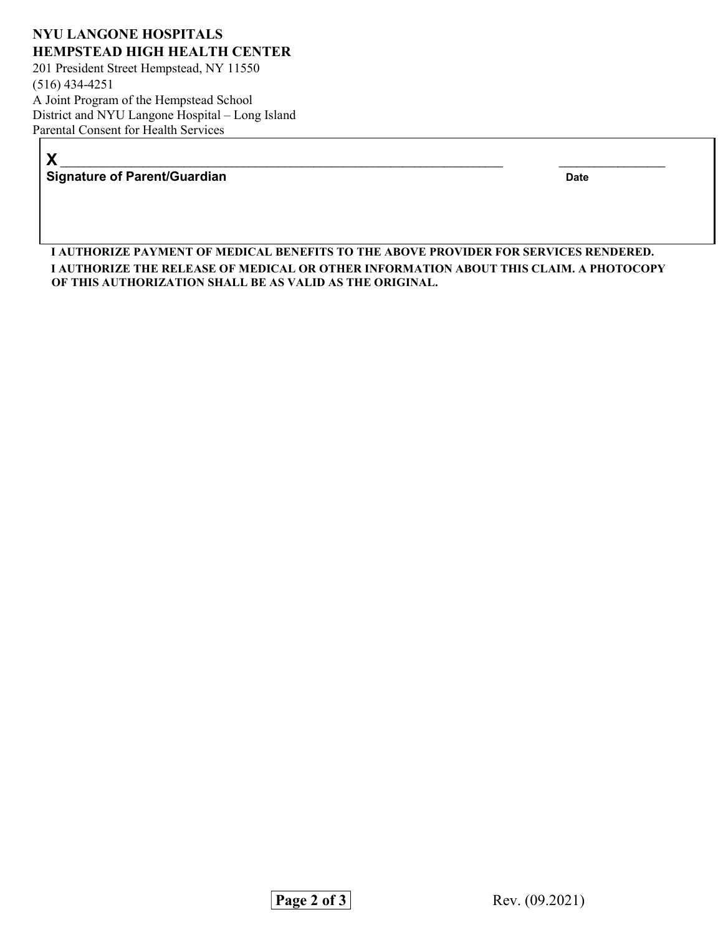## NYU LANGONE HOSPITALS HEMPSTEAD HIGH HEALTH CENTER

201 President Street Hempstead, NY 11550 (516) 434-4251 A Joint Program of the Hempstead School District and NYU Langone Hospital – Long Island Parental Consent for Health Services

X \_\_\_\_\_\_\_\_\_\_\_\_\_\_\_\_\_\_\_\_\_\_\_\_\_\_\_\_\_\_\_\_\_\_\_\_\_\_\_\_\_\_\_\_\_\_\_\_\_\_\_\_\_\_\_\_\_\_\_\_\_\_\_\_\_\_\_\_\_\_\_\_\_\_\_ \_\_\_\_\_\_\_\_\_\_\_\_\_\_\_\_\_\_ Signature of Parent/Guardian Date

I AUTHORIZE PAYMENT OF MEDICAL BENEFITS TO THE ABOVE PROVIDER FOR SERVICES RENDERED. I AUTHORIZE THE RELEASE OF MEDICAL OR OTHER INFORMATION ABOUT THIS CLAIM. A PHOTOCOPY OF THIS AUTHORIZATION SHALL BE AS VALID AS THE ORIGINAL.

Page 2 of 3 Rev. (09.2021)